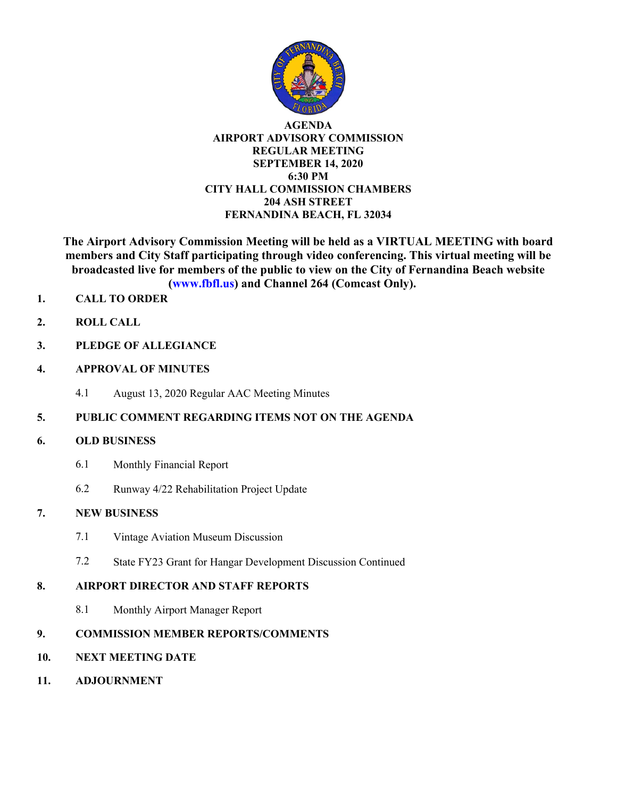

#### **AGENDA AIRPORT ADVISORY COMMISSION REGULAR MEETING SEPTEMBER 14, 2020 6:30 PM CITY HALL COMMISSION CHAMBERS 204 ASH STREET FERNANDINA BEACH, FL 32034**

**The Airport Advisory Commission Meeting will be held as a VIRTUAL MEETING with board members and City Staff participating through video conferencing. This virtual meeting will be broadcasted live for members of the public to view on the City of Fernandina Beach website (www.fbfl.us) and Channel 264 (Comcast Only).**

- **1. CALL TO ORDER**
- **2. ROLL CALL**
- **3. PLEDGE OF ALLEGIANCE**
- **4. APPROVAL OF MINUTES**
	- 4.1 August 13, 2020 Regular AAC Meeting Minutes

### **5. PUBLIC COMMENT REGARDING ITEMS NOT ON THE AGENDA**

#### **6. OLD BUSINESS**

- 6.1 Monthly Financial Report
- 6.2 Runway 4/22 Rehabilitation Project Update

### **7. NEW BUSINESS**

- 7.1 Vintage Aviation Museum Discussion
- 7.2 State FY23 Grant for Hangar Development Discussion Continued

#### **8. AIRPORT DIRECTOR AND STAFF REPORTS**

8.1 Monthly Airport Manager Report

### **9. COMMISSION MEMBER REPORTS/COMMENTS**

- **10. NEXT MEETING DATE**
- **11. ADJOURNMENT**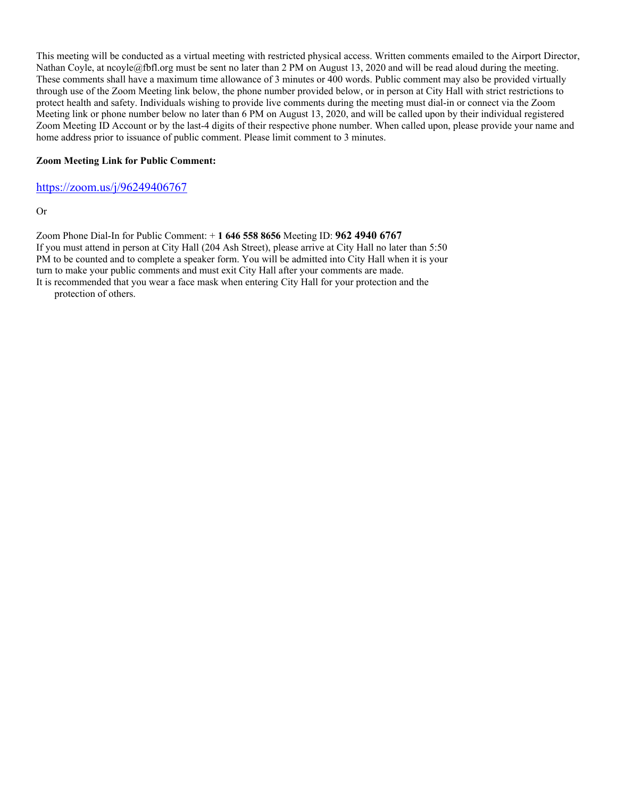This meeting will be conducted as a virtual meeting with restricted physical access. Written comments emailed to the Airport Director, Nathan Coyle, at ncoyle@fbfl.org must be sent no later than 2 PM on August 13, 2020 and will be read aloud during the meeting. These comments shall have a maximum time allowance of 3 minutes or 400 words. Public comment may also be provided virtually through use of the Zoom Meeting link below, the phone number provided below, or in person at City Hall with strict restrictions to protect health and safety. Individuals wishing to provide live comments during the meeting must dial-in or connect via the Zoom Meeting link or phone number below no later than 6 PM on August 13, 2020, and will be called upon by their individual registered Zoom Meeting ID Account or by the last-4 digits of their respective phone number. When called upon, please provide your name and home address prior to issuance of public comment. Please limit comment to 3 minutes.

#### **Zoom Meeting Link for Public Comment:**

<https://zoom.us/j/96249406767>

Or

Zoom Phone Dial-In for Public Comment: + **1 646 558 8656** Meeting ID: **962 4940 6767** If you must attend in person at City Hall (204 Ash Street), please arrive at City Hall no later than 5:50 PM to be counted and to complete a speaker form. You will be admitted into City Hall when it is your turn to make your public comments and must exit City Hall after your comments are made.

It is recommended that you wear a face mask when entering City Hall for your protection and the protection of others.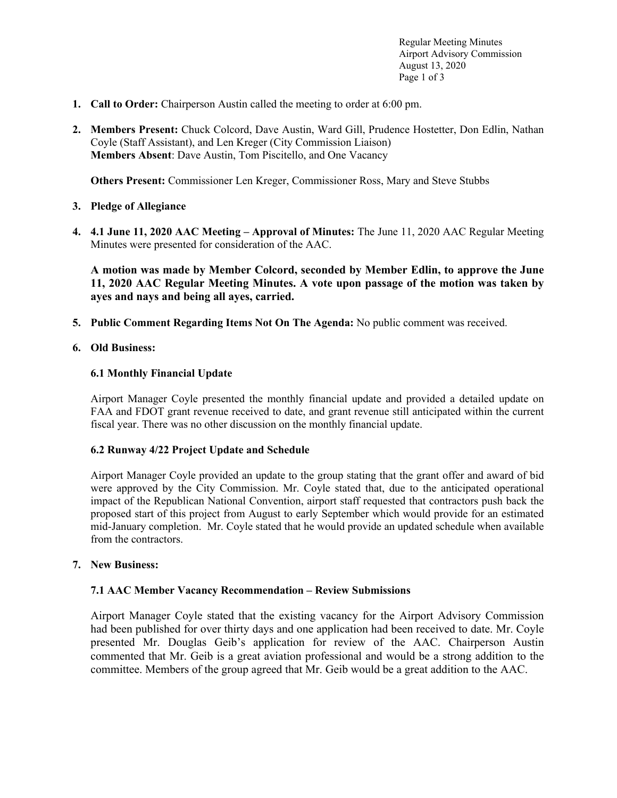Regular Meeting Minutes Airport Advisory Commission August 13, 2020 Page 1 of 3

- **1. Call to Order:** Chairperson Austin called the meeting to order at 6:00 pm.
- **2. Members Present:** Chuck Colcord, Dave Austin, Ward Gill, Prudence Hostetter, Don Edlin, Nathan Coyle (Staff Assistant), and Len Kreger (City Commission Liaison) **Members Absent**: Dave Austin, Tom Piscitello, and One Vacancy

**Others Present:** Commissioner Len Kreger, Commissioner Ross, Mary and Steve Stubbs

- **3. Pledge of Allegiance**
- **4. 4.1 June 11, 2020 AAC Meeting – Approval of Minutes:** The June 11, 2020 AAC Regular Meeting Minutes were presented for consideration of the AAC.

**A motion was made by Member Colcord, seconded by Member Edlin, to approve the June 11, 2020 AAC Regular Meeting Minutes. A vote upon passage of the motion was taken by ayes and nays and being all ayes, carried.**

**5. Public Comment Regarding Items Not On The Agenda:** No public comment was received.

#### **6. Old Business:**

#### **6.1 Monthly Financial Update**

Airport Manager Coyle presented the monthly financial update and provided a detailed update on FAA and FDOT grant revenue received to date, and grant revenue still anticipated within the current fiscal year. There was no other discussion on the monthly financial update.

#### **6.2 Runway 4/22 Project Update and Schedule**

Airport Manager Coyle provided an update to the group stating that the grant offer and award of bid were approved by the City Commission. Mr. Coyle stated that, due to the anticipated operational impact of the Republican National Convention, airport staff requested that contractors push back the proposed start of this project from August to early September which would provide for an estimated mid-January completion. Mr. Coyle stated that he would provide an updated schedule when available from the contractors.

#### **7. New Business:**

#### **7.1 AAC Member Vacancy Recommendation – Review Submissions**

Airport Manager Coyle stated that the existing vacancy for the Airport Advisory Commission had been published for over thirty days and one application had been received to date. Mr. Coyle presented Mr. Douglas Geib's application for review of the AAC. Chairperson Austin commented that Mr. Geib is a great aviation professional and would be a strong addition to the committee. Members of the group agreed that Mr. Geib would be a great addition to the AAC.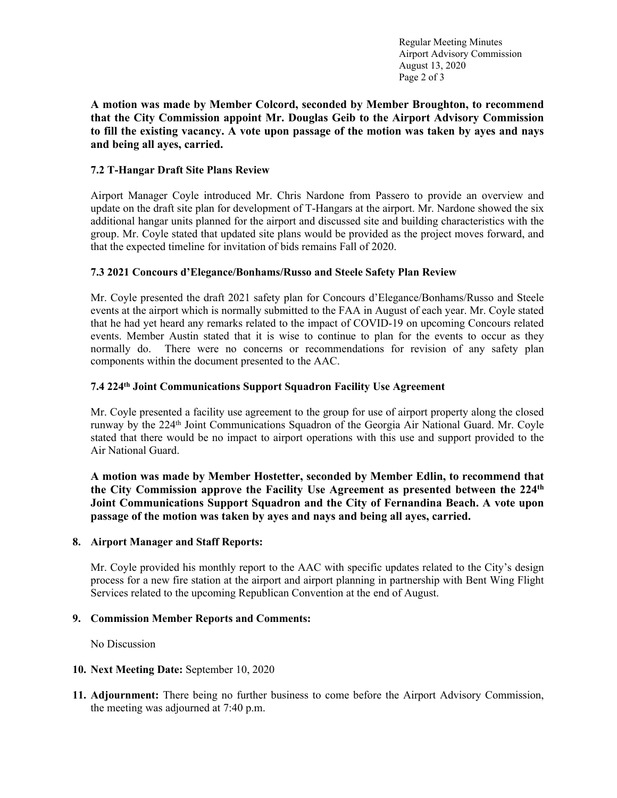Regular Meeting Minutes Airport Advisory Commission August 13, 2020 Page 2 of 3

**A motion was made by Member Colcord, seconded by Member Broughton, to recommend that the City Commission appoint Mr. Douglas Geib to the Airport Advisory Commission to fill the existing vacancy. A vote upon passage of the motion was taken by ayes and nays and being all ayes, carried.**

#### **7.2 T-Hangar Draft Site Plans Review**

Airport Manager Coyle introduced Mr. Chris Nardone from Passero to provide an overview and update on the draft site plan for development of T-Hangars at the airport. Mr. Nardone showed the six additional hangar units planned for the airport and discussed site and building characteristics with the group. Mr. Coyle stated that updated site plans would be provided as the project moves forward, and that the expected timeline for invitation of bids remains Fall of 2020.

#### **7.3 2021 Concours d'Elegance/Bonhams/Russo and Steele Safety Plan Review**

Mr. Coyle presented the draft 2021 safety plan for Concours d'Elegance/Bonhams/Russo and Steele events at the airport which is normally submitted to the FAA in August of each year. Mr. Coyle stated that he had yet heard any remarks related to the impact of COVID-19 on upcoming Concours related events. Member Austin stated that it is wise to continue to plan for the events to occur as they normally do. There were no concerns or recommendations for revision of any safety plan components within the document presented to the AAC.

#### **7.4 224th Joint Communications Support Squadron Facility Use Agreement**

Mr. Coyle presented a facility use agreement to the group for use of airport property along the closed runway by the 224<sup>th</sup> Joint Communications Squadron of the Georgia Air National Guard. Mr. Coyle stated that there would be no impact to airport operations with this use and support provided to the Air National Guard.

**A motion was made by Member Hostetter, seconded by Member Edlin, to recommend that the City Commission approve the Facility Use Agreement as presented between the 224th Joint Communications Support Squadron and the City of Fernandina Beach. A vote upon passage of the motion was taken by ayes and nays and being all ayes, carried.**

#### **8. Airport Manager and Staff Reports:**

Mr. Coyle provided his monthly report to the AAC with specific updates related to the City's design process for a new fire station at the airport and airport planning in partnership with Bent Wing Flight Services related to the upcoming Republican Convention at the end of August.

#### **9. Commission Member Reports and Comments:**

No Discussion

- **10. Next Meeting Date:** September 10, 2020
- **11. Adjournment:** There being no further business to come before the Airport Advisory Commission, the meeting was adjourned at 7:40 p.m.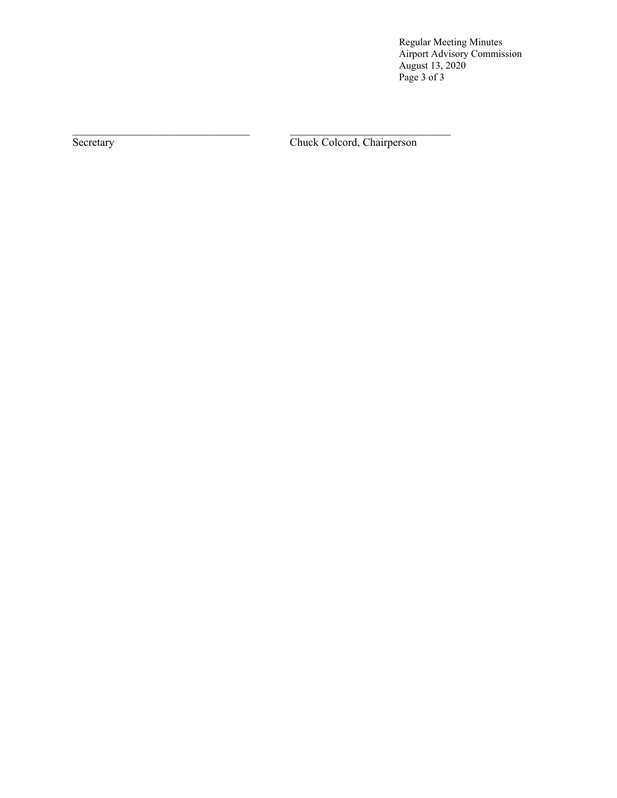Regular Meeting Minutes Airport Advisory Commission August 13, 2020 Page 3 of 3

Secretary Chuck Colcord, Chairperson

 $\mathcal{L}_\text{max} = \frac{1}{2} \sum_{i=1}^n \mathcal{L}_\text{max}(\mathbf{z}_i - \mathbf{z}_i)$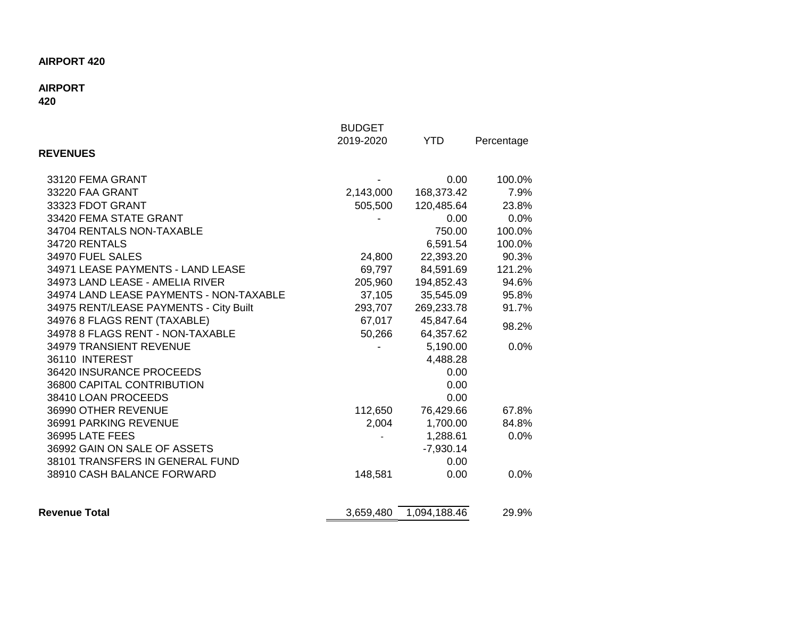# **AIRPORT 420**

# **AIRPORT**

# **420**

|                                         | <b>BUDGET</b> |              |            |
|-----------------------------------------|---------------|--------------|------------|
|                                         | 2019-2020     | <b>YTD</b>   | Percentage |
| <b>REVENUES</b>                         |               |              |            |
| 33120 FEMA GRANT                        |               | 0.00         | 100.0%     |
| 33220 FAA GRANT                         | 2,143,000     | 168,373.42   | 7.9%       |
| 33323 FDOT GRANT                        | 505,500       | 120,485.64   | 23.8%      |
| 33420 FEMA STATE GRANT                  |               | 0.00         | 0.0%       |
| 34704 RENTALS NON-TAXABLE               |               | 750.00       | 100.0%     |
| 34720 RENTALS                           |               | 6,591.54     | 100.0%     |
| 34970 FUEL SALES                        | 24,800        | 22,393.20    | 90.3%      |
| 34971 LEASE PAYMENTS - LAND LEASE       | 69,797        | 84,591.69    | 121.2%     |
| 34973 LAND LEASE - AMELIA RIVER         | 205,960       | 194,852.43   | 94.6%      |
| 34974 LAND LEASE PAYMENTS - NON-TAXABLE | 37,105        | 35,545.09    | 95.8%      |
| 34975 RENT/LEASE PAYMENTS - City Built  | 293,707       | 269,233.78   | 91.7%      |
| 34976 8 FLAGS RENT (TAXABLE)            | 67,017        | 45,847.64    | 98.2%      |
| 34978 8 FLAGS RENT - NON-TAXABLE        | 50,266        | 64,357.62    |            |
| 34979 TRANSIENT REVENUE                 |               | 5,190.00     | 0.0%       |
| 36110 INTEREST                          |               | 4,488.28     |            |
| 36420 INSURANCE PROCEEDS                |               | 0.00         |            |
| 36800 CAPITAL CONTRIBUTION              |               | 0.00         |            |
| 38410 LOAN PROCEEDS                     |               | 0.00         |            |
| 36990 OTHER REVENUE                     | 112,650       | 76,429.66    | 67.8%      |
| 36991 PARKING REVENUE                   | 2,004         | 1,700.00     | 84.8%      |
| 36995 LATE FEES                         |               | 1,288.61     | 0.0%       |
| 36992 GAIN ON SALE OF ASSETS            |               | $-7,930.14$  |            |
| 38101 TRANSFERS IN GENERAL FUND         |               | 0.00         |            |
| 38910 CASH BALANCE FORWARD              | 148,581       | 0.00         | 0.0%       |
| <b>Revenue Total</b>                    | 3,659,480     | 1,094,188.46 | 29.9%      |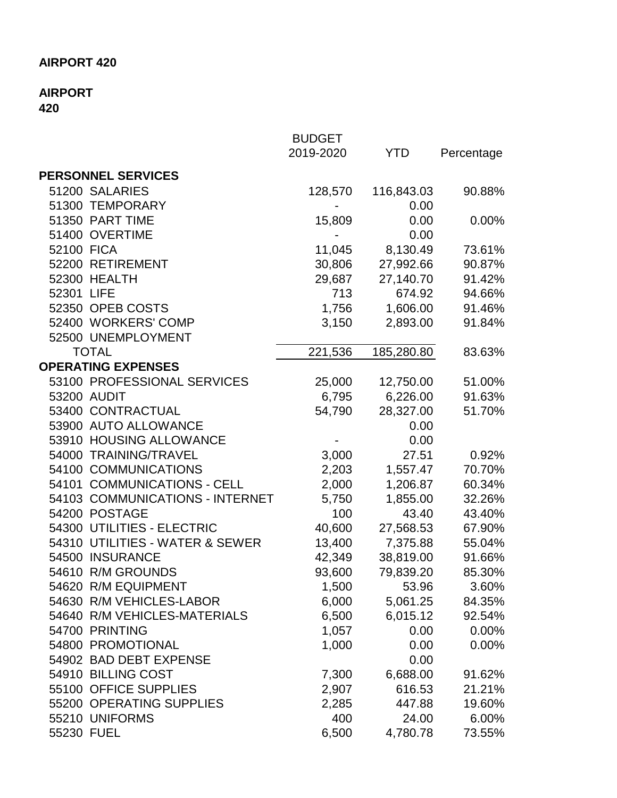# **AIRPORT 420**

## **AIRPORT 420**

|                                 | <b>BUDGET</b> |            |            |
|---------------------------------|---------------|------------|------------|
|                                 | 2019-2020     | <b>YTD</b> | Percentage |
| <b>PERSONNEL SERVICES</b>       |               |            |            |
| 51200 SALARIES                  | 128,570       | 116,843.03 | 90.88%     |
| 51300 TEMPORARY                 |               | 0.00       |            |
| 51350 PART TIME                 | 15,809        | 0.00       | 0.00%      |
| 51400 OVERTIME                  |               | 0.00       |            |
| 52100 FICA                      | 11,045        | 8,130.49   | 73.61%     |
| 52200 RETIREMENT                | 30,806        | 27,992.66  | 90.87%     |
| 52300 HEALTH                    | 29,687        | 27,140.70  | 91.42%     |
| 52301 LIFE                      | 713           | 674.92     | 94.66%     |
| 52350 OPEB COSTS                | 1,756         | 1,606.00   | 91.46%     |
| 52400 WORKERS' COMP             | 3,150         | 2,893.00   | 91.84%     |
| 52500 UNEMPLOYMENT              |               |            |            |
| <b>TOTAL</b>                    | 221,536       | 185,280.80 | 83.63%     |
| <b>OPERATING EXPENSES</b>       |               |            |            |
| 53100 PROFESSIONAL SERVICES     | 25,000        | 12,750.00  | 51.00%     |
| 53200 AUDIT                     | 6,795         | 6,226.00   | 91.63%     |
| 53400 CONTRACTUAL               | 54,790        | 28,327.00  | 51.70%     |
| 53900 AUTO ALLOWANCE            |               | 0.00       |            |
| 53910 HOUSING ALLOWANCE         |               | 0.00       |            |
| 54000 TRAINING/TRAVEL           | 3,000         | 27.51      | 0.92%      |
| 54100 COMMUNICATIONS            | 2,203         | 1,557.47   | 70.70%     |
| 54101 COMMUNICATIONS - CELL     | 2,000         | 1,206.87   | 60.34%     |
| 54103 COMMUNICATIONS - INTERNET | 5,750         | 1,855.00   | 32.26%     |
| 54200 POSTAGE                   | 100           | 43.40      | 43.40%     |
| 54300 UTILITIES - ELECTRIC      | 40,600        | 27,568.53  | 67.90%     |
| 54310 UTILITIES - WATER & SEWER | 13,400        | 7,375.88   | 55.04%     |
| 54500 INSURANCE                 | 42,349        | 38,819.00  | 91.66%     |
| 54610 R/M GROUNDS               | 93,600        | 79,839.20  | 85.30%     |
| 54620 R/M EQUIPMENT             | 1,500         | 53.96      | 3.60%      |
| 54630 R/M VEHICLES-LABOR        | 6,000         | 5,061.25   | 84.35%     |
| 54640 R/M VEHICLES-MATERIALS    | 6,500         | 6,015.12   | 92.54%     |
| 54700 PRINTING                  | 1,057         | 0.00       | 0.00%      |
| 54800 PROMOTIONAL               | 1,000         | 0.00       | $0.00\%$   |
| 54902 BAD DEBT EXPENSE          |               | 0.00       |            |
| 54910 BILLING COST              | 7,300         | 6,688.00   | 91.62%     |
| 55100 OFFICE SUPPLIES           | 2,907         | 616.53     | 21.21%     |
| 55200 OPERATING SUPPLIES        | 2,285         | 447.88     | 19.60%     |
| 55210 UNIFORMS                  | 400           | 24.00      | 6.00%      |
| 55230 FUEL                      | 6,500         | 4,780.78   | 73.55%     |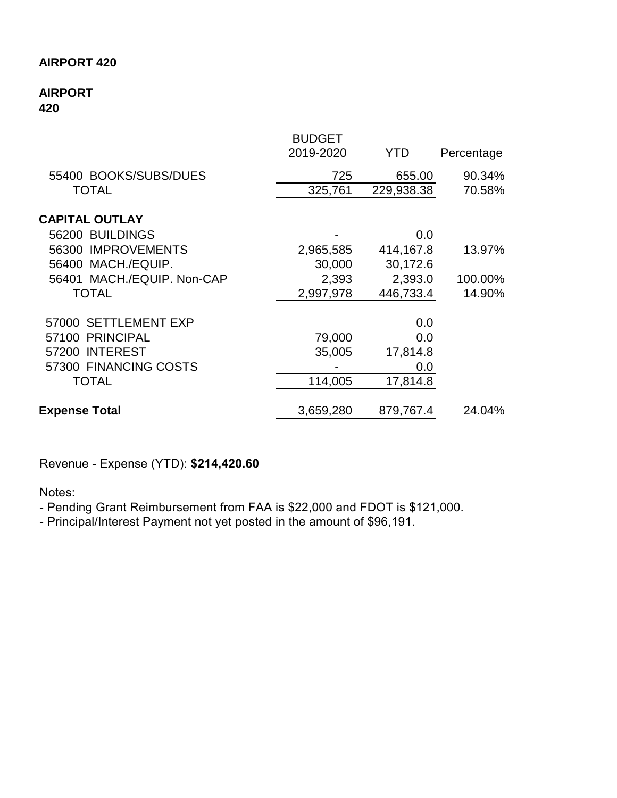## **AIRPORT 420**

### **AIRPORT 420**

| Percentage           |
|----------------------|
|                      |
| 655.00<br>90.34%     |
| 229,938.38<br>70.58% |
|                      |
| 0.0                  |
| 414, 167.8<br>13.97% |
| 30,172.6             |
| 100.00%<br>2,393.0   |
| 446,733.4<br>14.90%  |
| 0.0                  |
| 0.0                  |
| 17,814.8             |
| 0.0                  |
| 17,814.8             |
| 879,767.4<br>24.04%  |
|                      |

Revenue - Expense (YTD): **\$214,420.60**

Notes:

- Pending Grant Reimbursement from FAA is \$22,000 and FDOT is \$121,000.

- Principal/Interest Payment not yet posted in the amount of \$96,191.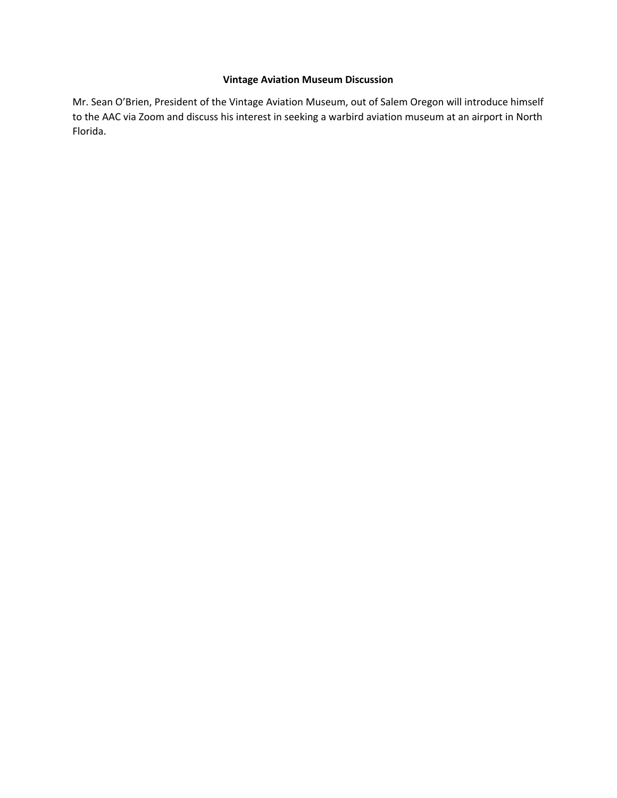### **Vintage Aviation Museum Discussion**

Mr. Sean O'Brien, President of the Vintage Aviation Museum, out of Salem Oregon will introduce himself to the AAC via Zoom and discuss his interest in seeking a warbird aviation museum at an airport in North Florida.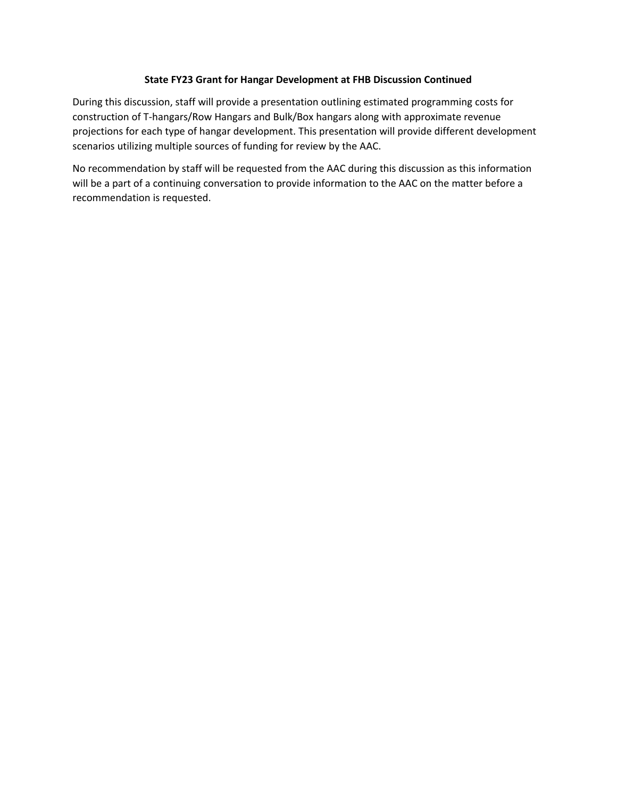#### **State FY23 Grant for Hangar Development at FHB Discussion Continued**

During this discussion, staff will provide a presentation outlining estimated programming costs for construction of T-hangars/Row Hangars and Bulk/Box hangars along with approximate revenue projections for each type of hangar development. This presentation will provide different development scenarios utilizing multiple sources of funding for review by the AAC.

No recommendation by staff will be requested from the AAC during this discussion as this information will be a part of a continuing conversation to provide information to the AAC on the matter before a recommendation is requested.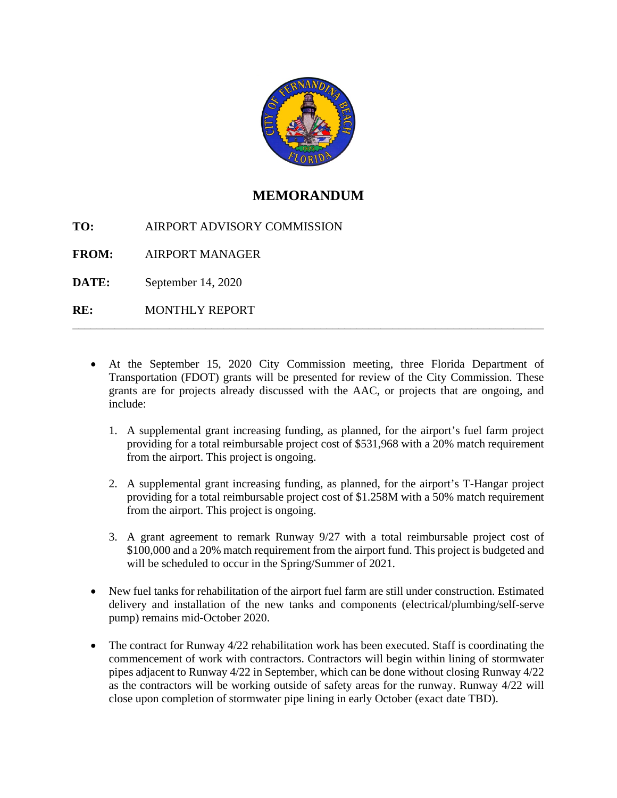

# **MEMORANDUM**

**TO:**  AIRPORT ADVISORY COMMISSION

**FROM:**  AIRPORT MANAGER

**DATE:**  September 14, 2020

**RE:**  MONTHLY REPORT

> • At the September 15, 2020 City Commission meeting, three Florida Department of Transportation (FDOT) grants will be presented for review of the City Commission. These grants are for projects already discussed with the AAC, or projects that are ongoing, and include:

\_\_\_\_\_\_\_\_\_\_\_\_\_\_\_\_\_\_\_\_\_\_\_\_\_\_\_\_\_\_\_\_\_\_\_\_\_\_\_\_\_\_\_\_\_\_\_\_\_\_\_\_\_\_\_\_\_\_\_\_\_\_\_\_\_\_\_\_\_\_\_\_\_\_\_\_\_\_

- 1. A supplemental grant increasing funding, as planned, for the airport's fuel farm project providing for a total reimbursable project cost of \$531,968 with a 20% match requirement from the airport. This project is ongoing.
- 2. A supplemental grant increasing funding, as planned, for the airport's T-Hangar project providing for a total reimbursable project cost of \$1.258M with a 50% match requirement from the airport. This project is ongoing.
- 3. A grant agreement to remark Runway 9/27 with a total reimbursable project cost of \$100,000 and a 20% match requirement from the airport fund. This project is budgeted and will be scheduled to occur in the Spring/Summer of 2021.
- New fuel tanks for rehabilitation of the airport fuel farm are still under construction. Estimated delivery and installation of the new tanks and components (electrical/plumbing/self-serve pump) remains mid-October 2020.
- The contract for Runway  $4/22$  rehabilitation work has been executed. Staff is coordinating the commencement of work with contractors. Contractors will begin within lining of stormwater pipes adjacent to Runway 4/22 in September, which can be done without closing Runway 4/22 as the contractors will be working outside of safety areas for the runway. Runway 4/22 will close upon completion of stormwater pipe lining in early October (exact date TBD).